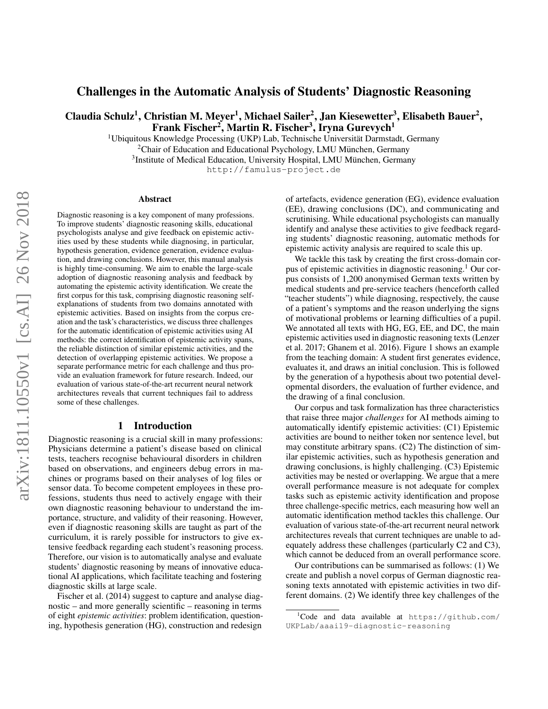# Challenges in the Automatic Analysis of Students' Diagnostic Reasoning

Claudia Schulz<sup>1</sup>, Christian M. Meyer<sup>1</sup>, Michael Sailer<sup>2</sup>, Jan Kiesewetter<sup>3</sup>, Elisabeth Bauer<sup>2</sup>, Frank Fischer<sup>2</sup>, Martin R. Fischer<sup>3</sup>, Iryna Gurevych<sup>1</sup>

 $1$ Ubiquitous Knowledge Processing (UKP) Lab, Technische Universität Darmstadt, Germany

<sup>2</sup>Chair of Education and Educational Psychology, LMU München, Germany

<sup>3</sup>Institute of Medical Education, University Hospital, LMU München, Germany

http://famulus-project.de

#### Abstract

Diagnostic reasoning is a key component of many professions. To improve students' diagnostic reasoning skills, educational psychologists analyse and give feedback on epistemic activities used by these students while diagnosing, in particular, hypothesis generation, evidence generation, evidence evaluation, and drawing conclusions. However, this manual analysis is highly time-consuming. We aim to enable the large-scale adoption of diagnostic reasoning analysis and feedback by automating the epistemic activity identification. We create the first corpus for this task, comprising diagnostic reasoning selfexplanations of students from two domains annotated with epistemic activities. Based on insights from the corpus creation and the task's characteristics, we discuss three challenges for the automatic identification of epistemic activities using AI methods: the correct identification of epistemic activity spans, the reliable distinction of similar epistemic activities, and the detection of overlapping epistemic activities. We propose a separate performance metric for each challenge and thus provide an evaluation framework for future research. Indeed, our evaluation of various state-of-the-art recurrent neural network architectures reveals that current techniques fail to address some of these challenges.

### 1 Introduction

Diagnostic reasoning is a crucial skill in many professions: Physicians determine a patient's disease based on clinical tests, teachers recognise behavioural disorders in children based on observations, and engineers debug errors in machines or programs based on their analyses of log files or sensor data. To become competent employees in these professions, students thus need to actively engage with their own diagnostic reasoning behaviour to understand the importance, structure, and validity of their reasoning. However, even if diagnostic reasoning skills are taught as part of the curriculum, it is rarely possible for instructors to give extensive feedback regarding each student's reasoning process. Therefore, our vision is to automatically analyse and evaluate students' diagnostic reasoning by means of innovative educational AI applications, which facilitate teaching and fostering diagnostic skills at large scale.

Fischer et al. (2014) suggest to capture and analyse diagnostic – and more generally scientific – reasoning in terms of eight *epistemic activities*: problem identification, questioning, hypothesis generation (HG), construction and redesign

of artefacts, evidence generation (EG), evidence evaluation (EE), drawing conclusions (DC), and communicating and scrutinising. While educational psychologists can manually identify and analyse these activities to give feedback regarding students' diagnostic reasoning, automatic methods for epistemic activity analysis are required to scale this up.

We tackle this task by creating the first cross-domain corpus of epistemic activities in diagnostic reasoning.<sup>1</sup> Our corpus consists of 1,200 anonymised German texts written by medical students and pre-service teachers (henceforth called "teacher students") while diagnosing, respectively, the cause of a patient's symptoms and the reason underlying the signs of motivational problems or learning difficulties of a pupil. We annotated all texts with HG, EG, EE, and DC, the main epistemic activities used in diagnostic reasoning texts (Lenzer et al. 2017; Ghanem et al. 2016). Figure 1 shows an example from the teaching domain: A student first generates evidence, evaluates it, and draws an initial conclusion. This is followed by the generation of a hypothesis about two potential developmental disorders, the evaluation of further evidence, and the drawing of a final conclusion.

Our corpus and task formalization has three characteristics that raise three major *challenges* for AI methods aiming to automatically identify epistemic activities: (C1) Epistemic activities are bound to neither token nor sentence level, but may constitute arbitrary spans. (C2) The distinction of similar epistemic activities, such as hypothesis generation and drawing conclusions, is highly challenging. (C3) Epistemic activities may be nested or overlapping. We argue that a mere overall performance measure is not adequate for complex tasks such as epistemic activity identification and propose three challenge-specific metrics, each measuring how well an automatic identification method tackles this challenge. Our evaluation of various state-of-the-art recurrent neural network architectures reveals that current techniques are unable to adequately address these challenges (particularly C2 and C3), which cannot be deduced from an overall performance score.

Our contributions can be summarised as follows: (1) We create and publish a novel corpus of German diagnostic reasoning texts annotated with epistemic activities in two different domains. (2) We identify three key challenges of the

 $1$ Code and data available at https://github.com/ UKPLab/aaai19-diagnostic-reasoning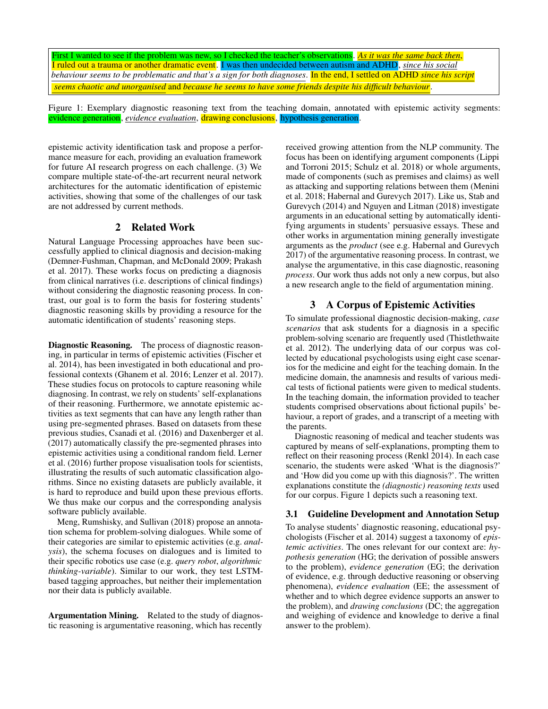First I wanted to see if the problem was new, so I checked the teacher's observations. *As it was the same back then*, I ruled out a trauma or another dramatic event. I was then undecided between autism and ADHD, *since his social behaviour seems to be problematic and that's a sign for both diagnoses*. In the end, I settled on ADHD *since his script seems chaotic and unorganised* and *because he seems to have some friends despite his difficult behaviour*.

Figure 1: Exemplary diagnostic reasoning text from the teaching domain, annotated with epistemic activity segments: evidence generation, *evidence evaluation*, drawing conclusions, hypothesis generation.

epistemic activity identification task and propose a performance measure for each, providing an evaluation framework for future AI research progress on each challenge. (3) We compare multiple state-of-the-art recurrent neural network architectures for the automatic identification of epistemic activities, showing that some of the challenges of our task are not addressed by current methods.

## 2 Related Work

Natural Language Processing approaches have been successfully applied to clinical diagnosis and decision-making (Demner-Fushman, Chapman, and McDonald 2009; Prakash et al. 2017). These works focus on predicting a diagnosis from clinical narratives (i.e. descriptions of clinical findings) without considering the diagnostic reasoning process. In contrast, our goal is to form the basis for fostering students' diagnostic reasoning skills by providing a resource for the automatic identification of students' reasoning steps.

Diagnostic Reasoning. The process of diagnostic reasoning, in particular in terms of epistemic activities (Fischer et al. 2014), has been investigated in both educational and professional contexts (Ghanem et al. 2016; Lenzer et al. 2017). These studies focus on protocols to capture reasoning while diagnosing. In contrast, we rely on students' self-explanations of their reasoning. Furthermore, we annotate epistemic activities as text segments that can have any length rather than using pre-segmented phrases. Based on datasets from these previous studies, Csanadi et al. (2016) and Daxenberger et al. (2017) automatically classify the pre-segmented phrases into epistemic activities using a conditional random field. Lerner et al. (2016) further propose visualisation tools for scientists, illustrating the results of such automatic classification algorithms. Since no existing datasets are publicly available, it is hard to reproduce and build upon these previous efforts. We thus make our corpus and the corresponding analysis software publicly available.

Meng, Rumshisky, and Sullivan (2018) propose an annotation schema for problem-solving dialogues. While some of their categories are similar to epistemic activities (e.g. *analysis*), the schema focuses on dialogues and is limited to their specific robotics use case (e.g. *query robot*, *algorithmic thinking-variable*). Similar to our work, they test LSTMbased tagging approaches, but neither their implementation nor their data is publicly available.

Argumentation Mining. Related to the study of diagnostic reasoning is argumentative reasoning, which has recently received growing attention from the NLP community. The focus has been on identifying argument components (Lippi and Torroni 2015; Schulz et al. 2018) or whole arguments, made of components (such as premises and claims) as well as attacking and supporting relations between them (Menini et al. 2018; Habernal and Gurevych 2017). Like us, Stab and Gurevych (2014) and Nguyen and Litman (2018) investigate arguments in an educational setting by automatically identifying arguments in students' persuasive essays. These and other works in argumentation mining generally investigate arguments as the *product* (see e.g. Habernal and Gurevych 2017) of the argumentative reasoning process. In contrast, we analyse the argumentative, in this case diagnostic, reasoning *process*. Our work thus adds not only a new corpus, but also a new research angle to the field of argumentation mining.

# 3 A Corpus of Epistemic Activities

To simulate professional diagnostic decision-making, *case scenarios* that ask students for a diagnosis in a specific problem-solving scenario are frequently used (Thistlethwaite et al. 2012). The underlying data of our corpus was collected by educational psychologists using eight case scenarios for the medicine and eight for the teaching domain. In the medicine domain, the anamnesis and results of various medical tests of fictional patients were given to medical students. In the teaching domain, the information provided to teacher students comprised observations about fictional pupils' behaviour, a report of grades, and a transcript of a meeting with the parents.

Diagnostic reasoning of medical and teacher students was captured by means of self-explanations, prompting them to reflect on their reasoning process (Renkl 2014). In each case scenario, the students were asked 'What is the diagnosis?' and 'How did you come up with this diagnosis?'. The written explanations constitute the *(diagnostic) reasoning texts* used for our corpus. Figure 1 depicts such a reasoning text.

### 3.1 Guideline Development and Annotation Setup

To analyse students' diagnostic reasoning, educational psychologists (Fischer et al. 2014) suggest a taxonomy of *epistemic activities*. The ones relevant for our context are: *hypothesis generation* (HG; the derivation of possible answers to the problem), *evidence generation* (EG; the derivation of evidence, e.g. through deductive reasoning or observing phenomena), *evidence evaluation* (EE; the assessment of whether and to which degree evidence supports an answer to the problem), and *drawing conclusions* (DC; the aggregation and weighing of evidence and knowledge to derive a final answer to the problem).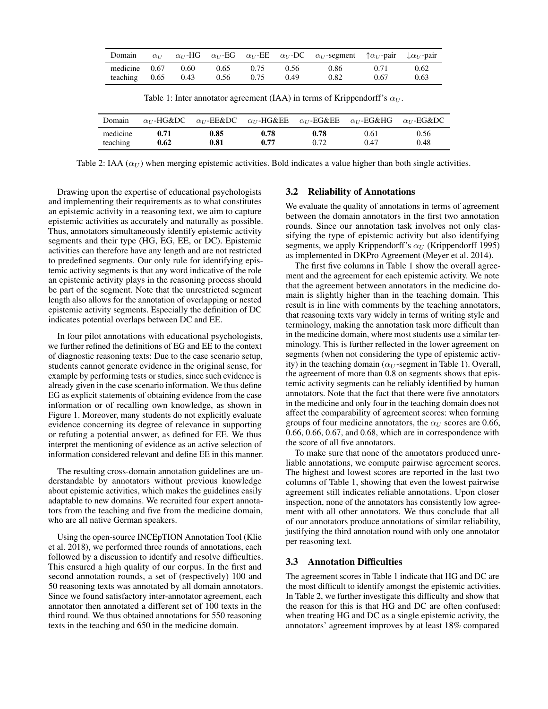| Domain                                |      |              |              |              | $\alpha_U$ $\alpha_U$ -HG $\alpha_U$ -EG $\alpha_U$ -EE $\alpha_U$ -DC $\alpha_U$ -segment $\uparrow \alpha_U$ -pair $\downarrow \alpha_U$ -pair |              |              |
|---------------------------------------|------|--------------|--------------|--------------|--------------------------------------------------------------------------------------------------------------------------------------------------|--------------|--------------|
| medicine 0.67<br>teaching $0.65$ 0.43 | 0.60 | 0.65<br>0.56 | 0.75<br>0.75 | 0.56<br>0.49 | 0.86<br>0.82                                                                                                                                     | 0.71<br>0.67 | 0.62<br>0.63 |

Table 1: Inter annotator agreement (IAA) in terms of Krippendorff's  $\alpha_U$ .

| Domain   |      |      |      |      | $\alpha_{U}$ -HG&DC $\alpha_{U}$ -EE&DC $\alpha_{U}$ -HG&EE $\alpha_{U}$ -EG&EE $\alpha_{U}$ -EG&HG $\alpha_{U}$ -EG&DC |      |
|----------|------|------|------|------|-------------------------------------------------------------------------------------------------------------------------|------|
| medicine | 0.71 | 0.85 | 0.78 | 0.78 | 0.61                                                                                                                    | 0.56 |
| teaching | 0.62 | 0.81 | 0.77 | 0.72 | 0.47                                                                                                                    | 0.48 |

Table 2: IAA ( $\alpha_U$ ) when merging epistemic activities. Bold indicates a value higher than both single activities.

Drawing upon the expertise of educational psychologists and implementing their requirements as to what constitutes an epistemic activity in a reasoning text, we aim to capture epistemic activities as accurately and naturally as possible. Thus, annotators simultaneously identify epistemic activity segments and their type (HG, EG, EE, or DC). Epistemic activities can therefore have any length and are not restricted to predefined segments. Our only rule for identifying epistemic activity segments is that any word indicative of the role an epistemic activity plays in the reasoning process should be part of the segment. Note that the unrestricted segment length also allows for the annotation of overlapping or nested epistemic activity segments. Especially the definition of DC indicates potential overlaps between DC and EE.

In four pilot annotations with educational psychologists, we further refined the definitions of EG and EE to the context of diagnostic reasoning texts: Due to the case scenario setup, students cannot generate evidence in the original sense, for example by performing tests or studies, since such evidence is already given in the case scenario information. We thus define EG as explicit statements of obtaining evidence from the case information or of recalling own knowledge, as shown in Figure 1. Moreover, many students do not explicitly evaluate evidence concerning its degree of relevance in supporting or refuting a potential answer, as defined for EE. We thus interpret the mentioning of evidence as an active selection of information considered relevant and define EE in this manner.

The resulting cross-domain annotation guidelines are understandable by annotators without previous knowledge about epistemic activities, which makes the guidelines easily adaptable to new domains. We recruited four expert annotators from the teaching and five from the medicine domain, who are all native German speakers.

Using the open-source INCEpTION Annotation Tool (Klie et al. 2018), we performed three rounds of annotations, each followed by a discussion to identify and resolve difficulties. This ensured a high quality of our corpus. In the first and second annotation rounds, a set of (respectively) 100 and 50 reasoning texts was annotated by all domain annotators. Since we found satisfactory inter-annotator agreement, each annotator then annotated a different set of 100 texts in the third round. We thus obtained annotations for 550 reasoning texts in the teaching and 650 in the medicine domain.

### 3.2 Reliability of Annotations

We evaluate the quality of annotations in terms of agreement between the domain annotators in the first two annotation rounds. Since our annotation task involves not only classifying the type of epistemic activity but also identifying segments, we apply Krippendorff's  $\alpha_U$  (Krippendorff 1995) as implemented in DKPro Agreement (Meyer et al. 2014).

The first five columns in Table 1 show the overall agreement and the agreement for each epistemic activity. We note that the agreement between annotators in the medicine domain is slightly higher than in the teaching domain. This result is in line with comments by the teaching annotators, that reasoning texts vary widely in terms of writing style and terminology, making the annotation task more difficult than in the medicine domain, where most students use a similar terminology. This is further reflected in the lower agreement on segments (when not considering the type of epistemic activity) in the teaching domain ( $\alpha_U$ -segment in Table 1). Overall, the agreement of more than 0.8 on segments shows that epistemic activity segments can be reliably identified by human annotators. Note that the fact that there were five annotators in the medicine and only four in the teaching domain does not affect the comparability of agreement scores: when forming groups of four medicine annotators, the  $\alpha_U$  scores are 0.66, 0.66, 0.66, 0.67, and 0.68, which are in correspondence with the score of all five annotators.

To make sure that none of the annotators produced unreliable annotations, we compute pairwise agreement scores. The highest and lowest scores are reported in the last two columns of Table 1, showing that even the lowest pairwise agreement still indicates reliable annotations. Upon closer inspection, none of the annotators has consistently low agreement with all other annotators. We thus conclude that all of our annotators produce annotations of similar reliability, justifying the third annotation round with only one annotator per reasoning text.

### 3.3 Annotation Difficulties

The agreement scores in Table 1 indicate that HG and DC are the most difficult to identify amongst the epistemic activities. In Table 2, we further investigate this difficulty and show that the reason for this is that HG and DC are often confused: when treating HG and DC as a single epistemic activity, the annotators' agreement improves by at least 18% compared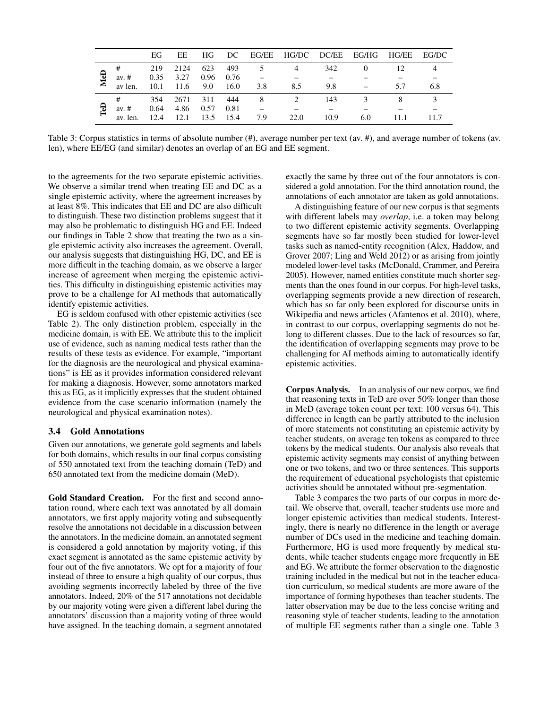|   |          | EG.  | EE                         |          |     |                               | HG DC EG/EE HG/DC DC/EE EG/HG HG/EE |      |     |      | EG/DC |
|---|----------|------|----------------------------|----------|-----|-------------------------------|-------------------------------------|------|-----|------|-------|
| ತ |          | 219  | 2124                       | 623 493  |     |                               |                                     | 342  |     | 12   |       |
|   |          |      |                            |          |     | av. # $0.35$ 3.27 0.96 0.76 – |                                     |      |     |      |       |
|   | av len.  |      | $10.1$ $11.6$ $9.0$ $16.0$ |          |     | 3.8                           | 8.5                                 | 9.8  |     |      |       |
| τ | #        | 354  |                            | 2671 311 | 444 | -8                            |                                     | 143  |     |      |       |
|   | av. $#$  | 0.64 | 4.86 0.57 0.81             |          |     |                               |                                     |      |     |      |       |
|   | av. len. | 12.4 | 12.1 13.5 15.4             |          |     | 7.9                           | 22.0                                | 10.9 | 6.0 | 11.1 |       |

Table 3: Corpus statistics in terms of absolute number (#), average number per text (av. #), and average number of tokens (av. len), where EE/EG (and similar) denotes an overlap of an EG and EE segment.

to the agreements for the two separate epistemic activities. We observe a similar trend when treating EE and DC as a single epistemic activity, where the agreement increases by at least 8%. This indicates that EE and DC are also difficult to distinguish. These two distinction problems suggest that it may also be problematic to distinguish HG and EE. Indeed our findings in Table 2 show that treating the two as a single epistemic activity also increases the agreement. Overall, our analysis suggests that distinguishing HG, DC, and EE is more difficult in the teaching domain, as we observe a larger increase of agreement when merging the epistemic activities. This difficulty in distinguishing epistemic activities may prove to be a challenge for AI methods that automatically identify epistemic activities.

EG is seldom confused with other epistemic activities (see Table 2). The only distinction problem, especially in the medicine domain, is with EE. We attribute this to the implicit use of evidence, such as naming medical tests rather than the results of these tests as evidence. For example, "important for the diagnosis are the neurological and physical examinations" is EE as it provides information considered relevant for making a diagnosis. However, some annotators marked this as EG, as it implicitly expresses that the student obtained evidence from the case scenario information (namely the neurological and physical examination notes).

### 3.4 Gold Annotations

Given our annotations, we generate gold segments and labels for both domains, which results in our final corpus consisting of 550 annotated text from the teaching domain (TeD) and 650 annotated text from the medicine domain (MeD).

Gold Standard Creation. For the first and second annotation round, where each text was annotated by all domain annotators, we first apply majority voting and subsequently resolve the annotations not decidable in a discussion between the annotators. In the medicine domain, an annotated segment is considered a gold annotation by majority voting, if this exact segment is annotated as the same epistemic activity by four out of the five annotators. We opt for a majority of four instead of three to ensure a high quality of our corpus, thus avoiding segments incorrectly labeled by three of the five annotators. Indeed, 20% of the 517 annotations not decidable by our majority voting were given a different label during the annotators' discussion than a majority voting of three would have assigned. In the teaching domain, a segment annotated

exactly the same by three out of the four annotators is considered a gold annotation. For the third annotation round, the annotations of each annotator are taken as gold annotations.

A distinguishing feature of our new corpus is that segments with different labels may *overlap*, i.e. a token may belong to two different epistemic activity segments. Overlapping segments have so far mostly been studied for lower-level tasks such as named-entity recognition (Alex, Haddow, and Grover 2007; Ling and Weld 2012) or as arising from jointly modeled lower-level tasks (McDonald, Crammer, and Pereira 2005). However, named entities constitute much shorter segments than the ones found in our corpus. For high-level tasks, overlapping segments provide a new direction of research, which has so far only been explored for discourse units in Wikipedia and news articles (Afantenos et al. 2010), where, in contrast to our corpus, overlapping segments do not belong to different classes. Due to the lack of resources so far, the identification of overlapping segments may prove to be challenging for AI methods aiming to automatically identify epistemic activities.

Corpus Analysis. In an analysis of our new corpus, we find that reasoning texts in TeD are over 50% longer than those in MeD (average token count per text: 100 versus 64). This difference in length can be partly attributed to the inclusion of more statements not constituting an epistemic activity by teacher students, on average ten tokens as compared to three tokens by the medical students. Our analysis also reveals that epistemic activity segments may consist of anything between one or two tokens, and two or three sentences. This supports the requirement of educational psychologists that epistemic activities should be annotated without pre-segmentation.

Table 3 compares the two parts of our corpus in more detail. We observe that, overall, teacher students use more and longer epistemic activities than medical students. Interestingly, there is nearly no difference in the length or average number of DCs used in the medicine and teaching domain. Furthermore, HG is used more frequently by medical students, while teacher students engage more frequently in EE and EG. We attribute the former observation to the diagnostic training included in the medical but not in the teacher education curriculum, so medical students are more aware of the importance of forming hypotheses than teacher students. The latter observation may be due to the less concise writing and reasoning style of teacher students, leading to the annotation of multiple EE segments rather than a single one. Table 3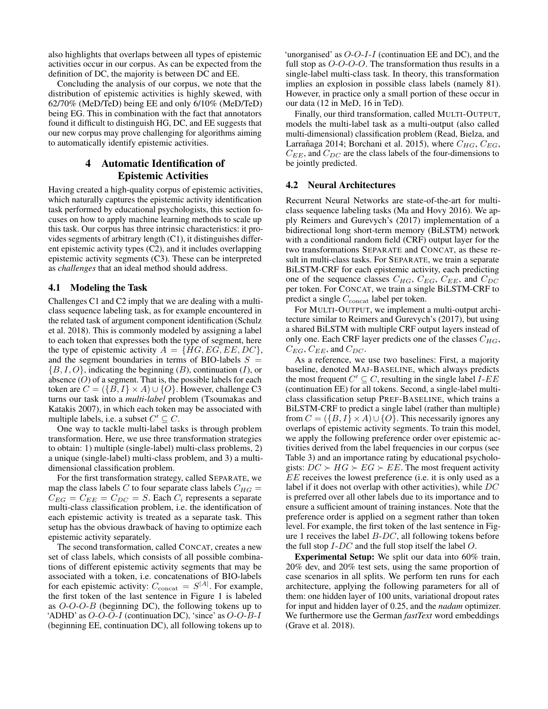also highlights that overlaps between all types of epistemic activities occur in our corpus. As can be expected from the definition of DC, the majority is between DC and EE.

Concluding the analysis of our corpus, we note that the distribution of epistemic activities is highly skewed, with 62/70% (MeD/TeD) being EE and only 6/10% (MeD/TeD) being EG. This in combination with the fact that annotators found it difficult to distinguish HG, DC, and EE suggests that our new corpus may prove challenging for algorithms aiming to automatically identify epistemic activities.

### 4 Automatic Identification of Epistemic Activities

Having created a high-quality corpus of epistemic activities, which naturally captures the epistemic activity identification task performed by educational psychologists, this section focuses on how to apply machine learning methods to scale up this task. Our corpus has three intrinsic characteristics: it provides segments of arbitrary length (C1), it distinguishes different epistemic activity types (C2), and it includes overlapping epistemic activity segments (C3). These can be interpreted as *challenges* that an ideal method should address.

### 4.1 Modeling the Task

Challenges C1 and C2 imply that we are dealing with a multiclass sequence labeling task, as for example encountered in the related task of argument component identification (Schulz et al. 2018). This is commonly modeled by assigning a label to each token that expresses both the type of segment, here the type of epistemic activity  $A = \{HG, EG, EE, DC\},\$ and the segment boundaries in terms of BIO-labels  $S =$  ${B, I, O}$ , indicating the beginning  $(B)$ , continuation  $(I)$ , or absence  $(O)$  of a segment. That is, the possible labels for each token are  $C = (\{B, I\} \times A) \cup \{O\}$ . However, challenge C3 turns our task into a *multi-label* problem (Tsoumakas and Katakis 2007), in which each token may be associated with multiple labels, i.e. a subset  $C' \subseteq C$ .

One way to tackle multi-label tasks is through problem transformation. Here, we use three transformation strategies to obtain: 1) multiple (single-label) multi-class problems, 2) a unique (single-label) multi-class problem, and 3) a multidimensional classification problem.

For the first transformation strategy, called SEPARATE, we map the class labels C to four separate class labels  $C_{HG}$  =  $C_{EG} = C_{EE} = C_{DC} = S$ . Each  $C_i$  represents a separate multi-class classification problem, i.e. the identification of each epistemic activity is treated as a separate task. This setup has the obvious drawback of having to optimize each epistemic activity separately.

The second transformation, called CONCAT, creates a new set of class labels, which consists of all possible combinations of different epistemic activity segments that may be associated with a token, i.e. concatenations of BIO-labels for each epistemic activity:  $C_{\text{concat}} = S^{|A|}$ . For example, the first token of the last sentence in Figure 1 is labeled as  $O-O-O-B$  (beginning DC), the following tokens up to 'ADHD' as  $O-O-O-I$  (continuation DC), 'since' as  $O-O-B-I$ (beginning EE, continuation DC), all following tokens up to

'unorganised' as  $O-O-I-I$  (continuation EE and DC), and the full stop as  $O-O-O-O$ . The transformation thus results in a single-label multi-class task. In theory, this transformation implies an explosion in possible class labels (namely 81). However, in practice only a small portion of these occur in our data (12 in MeD, 16 in TeD).

Finally, our third transformation, called MULTI-OUTPUT, models the multi-label task as a multi-output (also called multi-dimensional) classification problem (Read, Bielza, and Larrañaga 2014; Borchani et al. 2015), where  $C_{HG}$ ,  $C_{EG}$ ,  $C_{EE}$ , and  $C_{DC}$  are the class labels of the four-dimensions to be jointly predicted.

### 4.2 Neural Architectures

Recurrent Neural Networks are state-of-the-art for multiclass sequence labeling tasks (Ma and Hovy 2016). We apply Reimers and Gurevych's (2017) implementation of a bidirectional long short-term memory (BiLSTM) network with a conditional random field (CRF) output layer for the two transformations SEPARATE and CONCAT, as these result in multi-class tasks. For SEPARATE, we train a separate BiLSTM-CRF for each epistemic activity, each predicting one of the sequence classes  $C_{HG}$ ,  $C_{EG}$ ,  $C_{EE}$ , and  $C_{DC}$ per token. For CONCAT, we train a single BiLSTM-CRF to predict a single  $C_{\rm concat}$  label per token.

For MULTI-OUTPUT, we implement a multi-output architecture similar to Reimers and Gurevych's (2017), but using a shared BiLSTM with multiple CRF output layers instead of only one. Each CRF layer predicts one of the classes  $C_{HG}$ ,  $C_{EG}$ ,  $C_{EE}$ , and  $C_{DC}$ .

As a reference, we use two baselines: First, a majority baseline, denoted MAJ-BASELINE, which always predicts the most frequent  $C' \subseteq C$ , resulting in the single label *I-EE* (continuation EE) for all tokens. Second, a single-label multiclass classification setup PREF-BASELINE, which trains a BiLSTM-CRF to predict a single label (rather than multiple) from  $C = (\{B, I\} \times A) \cup \{O\}$ . This necessarily ignores any overlaps of epistemic activity segments. To train this model, we apply the following preference order over epistemic activities derived from the label frequencies in our corpus (see Table 3) and an importance rating by educational psychologists:  $DC \succ HG \succ EG \succ EE$ . The most frequent activity EE receives the lowest preference (i.e. it is only used as a label if it does not overlap with other activities), while DC is preferred over all other labels due to its importance and to ensure a sufficient amount of training instances. Note that the preference order is applied on a segment rather than token level. For example, the first token of the last sentence in Figure 1 receives the label  $B$ - $DC$ , all following tokens before the full stop  $I$ - $DC$  and the full stop itself the label  $O$ .

Experimental Setup: We split our data into 60% train, 20% dev, and 20% test sets, using the same proportion of case scenarios in all splits. We perform ten runs for each architecture, applying the following parameters for all of them: one hidden layer of 100 units, variational dropout rates for input and hidden layer of 0.25, and the *nadam* optimizer. We furthermore use the German *fastText* word embeddings (Grave et al. 2018).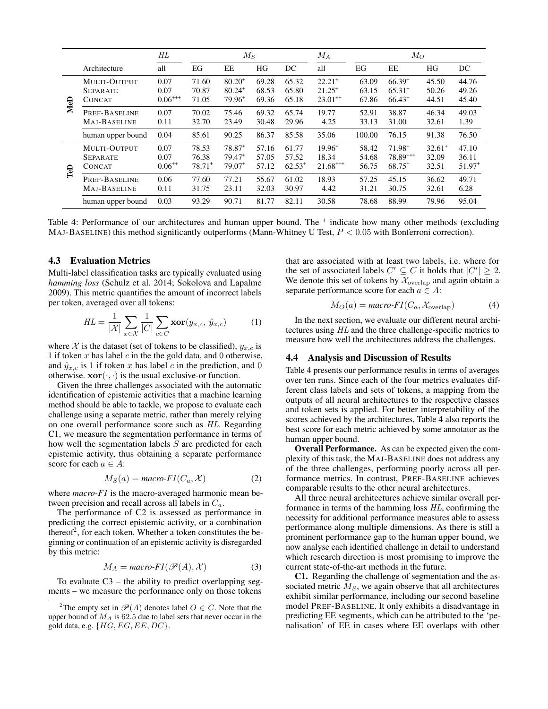|     |                                                  | $_{HL}$                     | $M_S$                         |                                                  |                         | $M_A$                         | $M_O$                                             |                         |                                           |                             |                                        |
|-----|--------------------------------------------------|-----------------------------|-------------------------------|--------------------------------------------------|-------------------------|-------------------------------|---------------------------------------------------|-------------------------|-------------------------------------------|-----------------------------|----------------------------------------|
|     | Architecture                                     | all                         | EG                            | EE                                               | HG                      | DC                            | all                                               | EG                      | EE                                        | HG                          | DC                                     |
| MeD | MULTI-OUTPUT<br><b>SEPARATE</b><br><b>CONCAT</b> | 0.07<br>0.07<br>$0.06***$   | 71.60<br>70.87<br>71.05       | $80.20^{+}$<br>$80.24$ <sup>+</sup><br>$79.96^+$ | 69.28<br>68.53<br>69.36 | 65.32<br>65.80<br>65.18       | $22.21$ <sup>+</sup><br>$21.25^+$<br>$23.01^{++}$ | 63.09<br>63.15<br>67.86 | $66.39^{+}$<br>$65.31^{+}$<br>$66.43^{+}$ | 45.50<br>50.26<br>44.51     | 44.76<br>49.26<br>45.40                |
|     | PREF-BASELINE<br>MAJ-BASELINE                    | 0.07<br>0.11                | 70.02<br>32.70                | 75.46<br>23.49                                   | 69.32<br>30.48          | 65.74<br>29.96                | 19.77<br>4.25                                     | 52.91<br>33.13          | 38.87<br>31.00                            | 46.34<br>32.61              | 49.03<br>1.39                          |
|     | human upper bound                                | 0.04                        | 85.61                         | 90.25                                            | 86.37                   | 85.58                         | 35.06                                             | 100.00                  | 76.15                                     | 91.38                       | 76.50                                  |
| TeD | MULTI-OUTPUT<br><b>SEPARATE</b><br><b>CONCAT</b> | 0.07<br>0.07<br>$0.06^{++}$ | 78.53<br>76.38<br>$78.71^{+}$ | $78.87^{+}$<br>$79.47^+$<br>$79.07^+$            | 57.16<br>57.05<br>57.12 | 61.77<br>57.52<br>$62.53^{+}$ | $19.96^{+}$<br>18.34<br>$21.68***$                | 58.42<br>54.68<br>56.75 | $71.98^{+}$<br>$78.89***$<br>$68.75^{+}$  | $32.61^+$<br>32.09<br>32.51 | 47.10<br>36.11<br>$51.97$ <sup>+</sup> |
|     | PREF-BASELINE<br>MAJ-BASELINE                    | 0.06<br>0.11                | 77.60<br>31.75                | 77.21<br>23.11                                   | 55.67<br>32.03          | 61.02<br>30.97                | 18.93<br>4.42                                     | 57.25<br>31.21          | 45.15<br>30.75                            | 36.62<br>32.61              | 49.71<br>6.28                          |
|     | human upper bound                                | 0.03                        | 93.29                         | 90.71                                            | 81.77                   | 82.11                         | 30.58                                             | 78.68                   | 88.99                                     | 79.96                       | 95.04                                  |

Table 4: Performance of our architectures and human upper bound. The <sup>+</sup> indicate how many other methods (excluding MAJ-BASELINE) this method significantly outperforms (Mann-Whitney U Test,  $P < 0.05$  with Bonferroni correction).

### 4.3 Evaluation Metrics

Multi-label classification tasks are typically evaluated using *hamming loss* (Schulz et al. 2014; Sokolova and Lapalme 2009). This metric quantifies the amount of incorrect labels per token, averaged over all tokens:

$$
HL = \frac{1}{|\mathcal{X}|} \sum_{x \in \mathcal{X}} \frac{1}{|C|} \sum_{c \in C} \mathbf{xor}(y_{x,c}, \hat{y}_{x,c}) \tag{1}
$$

where X is the dataset (set of tokens to be classified),  $y_{x,c}$  is 1 if token x has label c in the the gold data, and 0 otherwise, and  $\hat{y}_{x,c}$  is 1 if token x has label c in the prediction, and 0 otherwise.  $\mathbf{xor}(\cdot, \cdot)$  is the usual exclusive-or function.

Given the three challenges associated with the automatic identification of epistemic activities that a machine learning method should be able to tackle, we propose to evaluate each challenge using a separate metric, rather than merely relying on one overall performance score such as HL. Regarding C1, we measure the segmentation performance in terms of how well the segmentation labels S are predicted for each epistemic activity, thus obtaining a separate performance score for each  $a \in A$ :

$$
M_S(a) = macro\text{-}FI(C_a, \mathcal{X})\tag{2}
$$

where *macro-F1* is the macro-averaged harmonic mean between precision and recall across all labels in  $C_a$ .

The performance of C2 is assessed as performance in predicting the correct epistemic activity, or a combination thereof<sup>2</sup>, for each token. Whether a token constitutes the beginning or continuation of an epistemic activity is disregarded by this metric:

$$
M_A = macro\text{-}FI(\mathscr{P}(A), \mathcal{X})
$$
 (3)

To evaluate  $C3$  – the ability to predict overlapping segments – we measure the performance only on those tokens

that are associated with at least two labels, i.e. where for the set of associated labels  $C' \subseteq C$  it holds that  $|C'| \geq 2$ . We denote this set of tokens by  $\mathcal{X}_{\text{overlap}}$  and again obtain a separate performance score for each  $a \in A$ :

$$
M_O(a) = macro\text{-}FI(C_a, \mathcal{X}_{\text{overlap}})
$$
 (4)

In the next section, we evaluate our different neural architectures using HL and the three challenge-specific metrics to measure how well the architectures address the challenges.

#### 4.4 Analysis and Discussion of Results

Table 4 presents our performance results in terms of averages over ten runs. Since each of the four metrics evaluates different class labels and sets of tokens, a mapping from the outputs of all neural architectures to the respective classes and token sets is applied. For better interpretability of the scores achieved by the architectures, Table 4 also reports the best score for each metric achieved by some annotator as the human upper bound.

Overall Performance. As can be expected given the complexity of this task, the MAJ-BASELINE does not address any of the three challenges, performing poorly across all performance metrics. In contrast, PREF-BASELINE achieves comparable results to the other neural architectures.

All three neural architectures achieve similar overall performance in terms of the hamming loss HL, confirming the necessity for additional performance measures able to assess performance along multiple dimensions. As there is still a prominent performance gap to the human upper bound, we now analyse each identified challenge in detail to understand which research direction is most promising to improve the current state-of-the-art methods in the future.

C1. Regarding the challenge of segmentation and the associated metric  $M<sub>S</sub>$ , we again observe that all architectures exhibit similar performance, including our second baseline model PREF-BASELINE. It only exhibits a disadvantage in predicting EE segments, which can be attributed to the 'penalisation' of EE in cases where EE overlaps with other

<sup>&</sup>lt;sup>2</sup>The empty set in  $\mathcal{P}(A)$  denotes label  $O \in C$ . Note that the upper bound of  $M_A$  is 62.5 due to label sets that never occur in the gold data, e.g.  $\{HG, EG, EE, DC\}$ .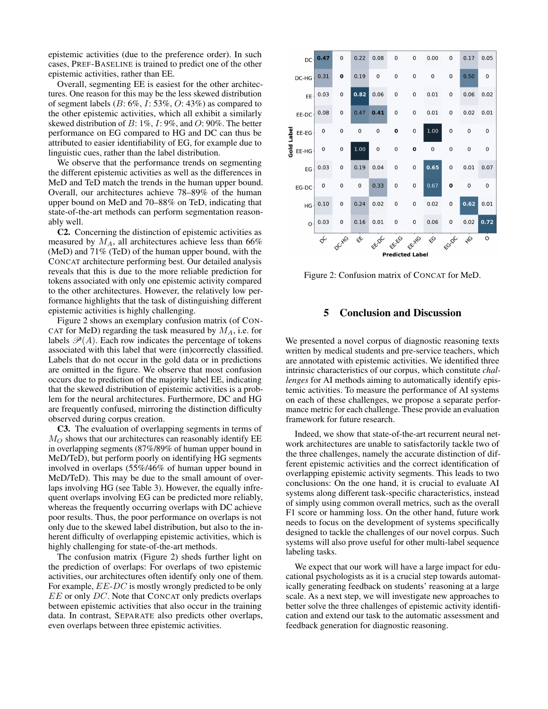epistemic activities (due to the preference order). In such cases, PREF-BASELINE is trained to predict one of the other epistemic activities, rather than EE.

Overall, segmenting EE is easiest for the other architectures. One reason for this may be the less skewed distribution of segment labels ( $B: 6\%, I: 53\%, O: 43\%$ ) as compared to the other epistemic activities, which all exhibit a similarly skewed distribution of  $B: 1\%, I: 9\%,$  and  $O: 90\%$ . The better performance on EG compared to HG and DC can thus be attributed to easier identifiability of EG, for example due to linguistic cues, rather than the label distribution.

We observe that the performance trends on segmenting the different epistemic activities as well as the differences in MeD and TeD match the trends in the human upper bound. Overall, our architectures achieve 78–89% of the human upper bound on MeD and 70–88% on TeD, indicating that state-of-the-art methods can perform segmentation reasonably well.

C2. Concerning the distinction of epistemic activities as measured by  $M_A$ , all architectures achieve less than 66% (MeD) and 71% (TeD) of the human upper bound, with the CONCAT architecture performing best. Our detailed analysis reveals that this is due to the more reliable prediction for tokens associated with only one epistemic activity compared to the other architectures. However, the relatively low performance highlights that the task of distinguishing different epistemic activities is highly challenging.

Figure 2 shows an exemplary confusion matrix (of CON-CAT for MeD) regarding the task measured by  $M_A$ , i.e. for labels  $\mathcal{P}(A)$ . Each row indicates the percentage of tokens associated with this label that were (in)correctly classified. Labels that do not occur in the gold data or in predictions are omitted in the figure. We observe that most confusion occurs due to prediction of the majority label EE, indicating that the skewed distribution of epistemic activities is a problem for the neural architectures. Furthermore, DC and HG are frequently confused, mirroring the distinction difficulty observed during corpus creation.

C3. The evaluation of overlapping segments in terms of  $M_O$  shows that our architectures can reasonably identify EE in overlapping segments (87%/89% of human upper bound in MeD/TeD), but perform poorly on identifying HG segments involved in overlaps (55%/46% of human upper bound in MeD/TeD). This may be due to the small amount of overlaps involving HG (see Table 3). However, the equally infrequent overlaps involving EG can be predicted more reliably, whereas the frequently occurring overlaps with DC achieve poor results. Thus, the poor performance on overlaps is not only due to the skewed label distribution, but also to the inherent difficulty of overlapping epistemic activities, which is highly challenging for state-of-the-art methods.

The confusion matrix (Figure 2) sheds further light on the prediction of overlaps: For overlaps of two epistemic activities, our architectures often identify only one of them. For example, EE-DC is mostly wrongly predicted to be only EE or only DC. Note that CONCAT only predicts overlaps between epistemic activities that also occur in the training data. In contrast, SEPARATE also predicts other overlaps, even overlaps between three epistemic activities.



Figure 2: Confusion matrix of CONCAT for MeD.

### 5 Conclusion and Discussion

We presented a novel corpus of diagnostic reasoning texts written by medical students and pre-service teachers, which are annotated with epistemic activities. We identified three intrinsic characteristics of our corpus, which constitute *challenges* for AI methods aiming to automatically identify epistemic activities. To measure the performance of AI systems on each of these challenges, we propose a separate performance metric for each challenge. These provide an evaluation framework for future research.

Indeed, we show that state-of-the-art recurrent neural network architectures are unable to satisfactorily tackle two of the three challenges, namely the accurate distinction of different epistemic activities and the correct identification of overlapping epistemic activity segments. This leads to two conclusions: On the one hand, it is crucial to evaluate AI systems along different task-specific characteristics, instead of simply using common overall metrics, such as the overall F1 score or hamming loss. On the other hand, future work needs to focus on the development of systems specifically designed to tackle the challenges of our novel corpus. Such systems will also prove useful for other multi-label sequence labeling tasks.

We expect that our work will have a large impact for educational psychologists as it is a crucial step towards automatically generating feedback on students' reasoning at a large scale. As a next step, we will investigate new approaches to better solve the three challenges of epistemic activity identification and extend our task to the automatic assessment and feedback generation for diagnostic reasoning.